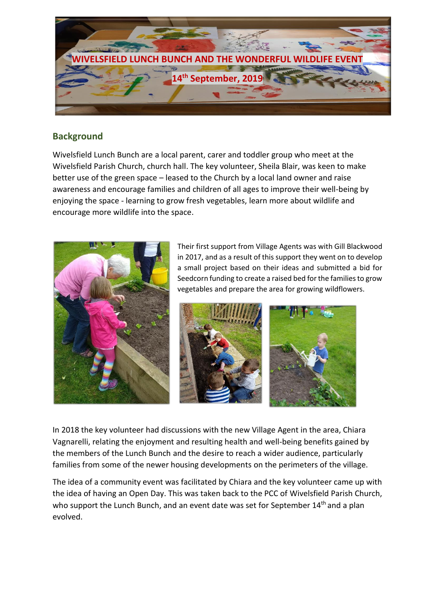

### **Background**

Wivelsfield Lunch Bunch are a local parent, carer and toddler group who meet at the Wivelsfield Parish Church, church hall. The key volunteer, Sheila Blair, was keen to make better use of the green space – leased to the Church by a local land owner and raise awareness and encourage families and children of all ages to improve their well-being by enjoying the space - learning to grow fresh vegetables, learn more about wildlife and encourage more wildlife into the space.



Their first support from Village Agents was with Gill Blackwood in 2017, and as a result of this support they went on to develop a small project based on their ideas and submitted a bid for Seedcorn funding to create a raised bed for the families to grow vegetables and prepare the area for growing wildflowers.



In 2018 the key volunteer had discussions with the new Village Agent in the area, Chiara Vagnarelli, relating the enjoyment and resulting health and well-being benefits gained by the members of the Lunch Bunch and the desire to reach a wider audience, particularly families from some of the newer housing developments on the perimeters of the village.

The idea of a community event was facilitated by Chiara and the key volunteer came up with the idea of having an Open Day. This was taken back to the PCC of Wivelsfield Parish Church, who support the Lunch Bunch, and an event date was set for September 14<sup>th</sup> and a plan evolved.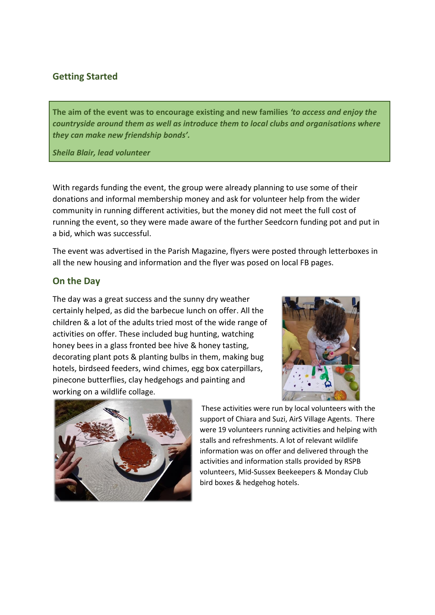# **Getting Started**

**The aim of the event was to encourage existing and new families** *'to access and enjoy the countryside around them as well as introduce them to local clubs and organisations where they can make new friendship bonds'.*

*Sheila Blair, lead volunteer*

With regards funding the event, the group were already planning to use some of their donations and informal membership money and ask for volunteer help from the wider community in running different activities, but the money did not meet the full cost of running the event, so they were made aware of the further Seedcorn funding pot and put in a bid, which was successful.

The event was advertised in the Parish Magazine, flyers were posted through letterboxes in all the new housing and information and the flyer was posed on local FB pages.

#### **On the Day**

The day was a great success and the sunny dry weather certainly helped, as did the barbecue lunch on offer. All the children & a lot of the adults tried most of the wide range of activities on offer. These included bug hunting, watching honey bees in a glass fronted bee hive & honey tasting, decorating plant pots & planting bulbs in them, making bug hotels, birdseed feeders, wind chimes, egg box caterpillars, pinecone butterflies, clay hedgehogs and painting and working on a wildlife collage.





These activities were run by local volunteers with the support of Chiara and Suzi, AirS Village Agents. There were 19 volunteers running activities and helping with stalls and refreshments. A lot of relevant wildlife information was on offer and delivered through the activities and information stalls provided by RSPB volunteers, Mid-Sussex Beekeepers & Monday Club bird boxes & hedgehog hotels.